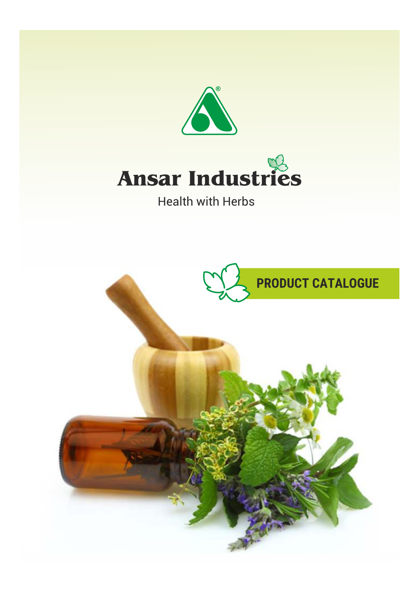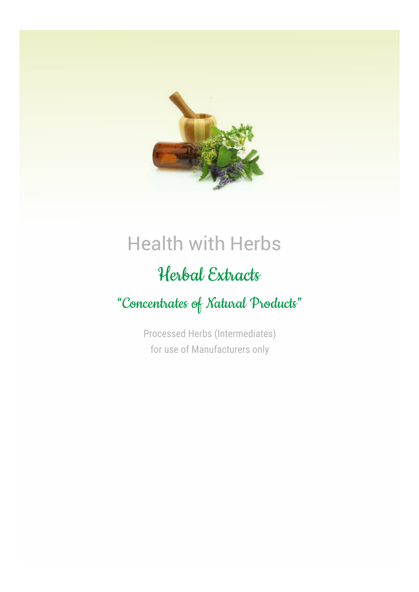

## Health with Herbs

### Herbal Extracts

"Concentrates of Natural Products"

Processed Herbs (Intermediates) for use of Manufacturers only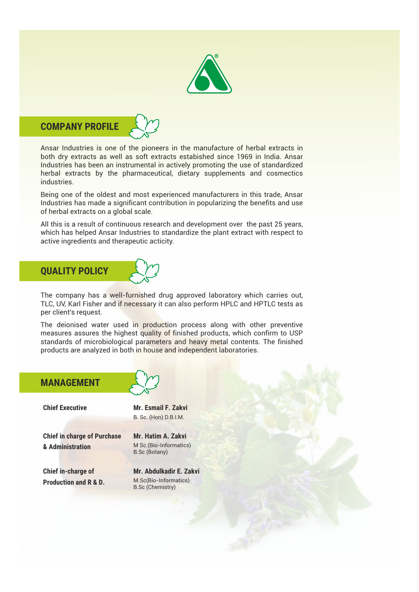

#### **COMPANY PROFILE**

Ansar Industries is one of the pioneers in the manufacture of herbal extracts in both dry extracts as well as soft extracts estabished since 1969 in India. Ansar Industries has been an instrumental in actively promoting the use of standardized herbal extracts by the pharmaceutical, dietary supplements and cosmectics industries.

Being one of the oldest and most experienced manufacturers in this trade, Ansar Industries has made a significant contribution in popularizing the benefits and use of herbal extracts on a global scale.

All this is a result of continuous research and development over the past 25 years, which has helped Ansar Industries to standardize the plant extract with respect to active ingredients and therapeutic acticity.

# **QUALITY POLICY**

The company has a well-furnished drug approved laboratory which carries out, TLC, UV, Karl Fisher and if necessary it can also perform HPLC and HPTLC tests as per client's request.

The deionised water used in production process along with other preventive measures assures the highest quality of finished products, which confirm to USP standards of microbiological parameters and heavy metal contents. The finished products are analyzed in both in house and independent laboratories.

#### **MANAGEMENT Mr. Esmail F. Zakvi**  B. Sc. (Hon) D.B.I.M. **Chief Executive Chief in charge of Purchase & Administration Mr. Hatim A. Zakvi**  M Sc.(Bio-Informatics) B.Sc (Botany) **Chief in-charge of Production and R & D. Mr. Abdulkadir E. Zakvi**  M.Sc(Bio-Informatics) B.Sc (Chemistry)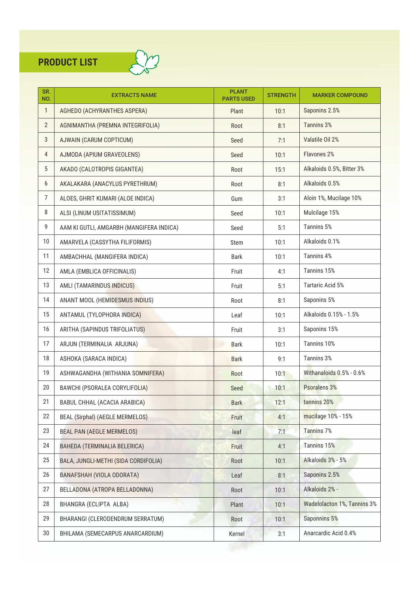

| SR.<br>NO.     | <b>EXTRACTS NAME</b>                     | <b>PLANT</b><br><b>PARTS USED</b> | <b>STRENGTH</b> | <b>MARKER COMPOUND</b>      |
|----------------|------------------------------------------|-----------------------------------|-----------------|-----------------------------|
| $\mathbf{1}$   | AGHEDO (ACHYRANTHES ASPERA)              | Plant                             | 10:1            | Saponins 2.5%               |
| $\overline{2}$ | AGNIMANTHA (PREMNA INTEGRIFOLIA)         | Root                              | 8:1             | Tannins 3%                  |
| 3              | AJWAIN (CARUM COPTICUM)                  | Seed                              | 7:1             | Valatile Oil 2%             |
| $\overline{4}$ | AJMODA (APIUM GRAVEOLENS)                | Seed                              | 10:1            | Flavones 2%                 |
| 5              | AKADO (CALOTROPIS GIGANTEA)              | Root                              | 15:1            | Alkaloids 0.5%, Bitter 3%   |
| 6              | AKALAKARA (ANACYLUS PYRETHRUM)           | Root                              | 8:1             | Alkaloids 0.5%              |
| 7              | ALOES, GHRIT KUMARI (ALOE INDICA)        | Gum                               | 3:1             | Aloin 1%, Mucilage 10%      |
| 8              | ALSI (LINUM USITATISSIMUM)               | Seed                              | 10:1            | Mulcilage 15%               |
| 9              | AAM KI GUTLI, AMGARBH (MANGIFERA INDICA) | Seed                              | 5:1             | Tannins 5%                  |
| 10             | AMARVELA (CASSYTHA FILIFORMIS)           | Stem                              | 10:1            | Alkaloids 0.1%              |
| 11             | AMBACHHAL (MANGIFERA INDICA)             | Bark                              | 10:1            | Tannins 4%                  |
| 12             | AMLA (EMBLICA OFFICINALIS)               | Fruit                             | 4:1             | Tannins 15%                 |
| 13             | AMLI (TAMARINDUS INDICUS)                | Fruit                             | 5:1             | Tartaric Acid 5%            |
| 14             | ANANT MOOL (HEMIDESMUS INDIUS)           | Root                              | 8:1             | Saponins 5%                 |
| 15             | ANTAMUL (TYLOPHORA INDICA)               | Leaf                              | 10:1            | Alkaloids 0.15% - 1.5%      |
| 16             | ARITHA (SAPINDUS TRIFOLIATUS)            | Fruit                             | 3:1             | Saponins 15%                |
| 17             | ARJUN (TERMINALIA ARJUNA)                | <b>Bark</b>                       | 10:1            | Tannins 10%                 |
| 18             | ASHOKA (SARACA INDICA)                   | <b>Bark</b>                       | 9:1             | Tannins 3%                  |
| 19             | ASHWAGANDHA (WITHANIA SOMNIFERA)         | Root                              | 10:1            | Withanaloids 0.5% - 0.6%    |
| 20             | BAWCHI (PSORALEA CORYLIFOLIA)            | Seed                              | 10:1            | Psoralens 3%                |
| 21             | BABUL CHHAL (ACACIA ARABICA)             | <b>Bark</b>                       | 12:1            | tannins 20%                 |
| 22             | BEAL (Sirphal) (AEGLE MERMELOS)          | Fruit                             | 4:1             | mucilage 10% - 15%          |
| 23             | <b>BEAL PAN (AEGLE MERMELOS)</b>         | leaf                              | 7:1             | <b>Tannins 7%</b>           |
| 24             | BAHEDA (TERMINALIA BELERICA)             | Fruit                             | 4:1             | Tannins 15%                 |
| 25             | BALA, JUNGLI-METHI (SIDA CORDIFOLIA)     | Root                              | 10:1            | Alkaloids 3% - 5%           |
| 26             | BANAFSHAH (VIOLA ODORATA)                | Leaf                              | 8:1             | Saponins 2.5%               |
| 27             | BELLADONA (ATROPA BELLADONNA)            | Root                              | 10:1            | Alkaloids 2% -              |
| 28             | BHANGRA (ECLIPTA ALBA)                   | Plant                             | 10:1            | Wadelolacton 1%, Tannins 3% |
| 29             | BHARANGI (CLERODENDRUM SERRATUM)         | Root                              | 10:1            | Saponnins 5%                |
| $30\,$         | BHILAMA (SEMECARPUS ANARCARDIUM)         | Kernel                            | 3:1             | Anarcardic Acid 0.4%        |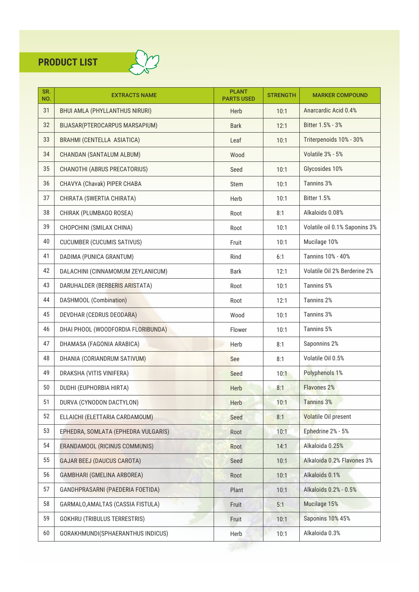

| SR.<br>NO. | <b>EXTRACTS NAME</b>                  | <b>PLANT</b><br><b>PARTS USED</b> | <b>STRENGTH</b> | <b>MARKER COMPOUND</b>        |
|------------|---------------------------------------|-----------------------------------|-----------------|-------------------------------|
| 31         | <b>BHUI AMLA (PHYLLANTHUS NIRURI)</b> | <b>Herb</b>                       | 10:1            | Anarcardic Acid 0.4%          |
| 32         | BIJASAR(PTEROCARPUS MARSAPIUM)        | <b>Bark</b>                       | 12:1            | Bitter 1.5% - 3%              |
| 33         | BRAHMI (CENTELLA ASIATICA)            | Leaf                              | 10:1            | Triterpenoids 10% - 30%       |
| 34         | CHANDAN (SANTALUM ALBUM)              | Wood                              |                 | Volatile 3% - 5%              |
| 35         | CHANOTHI (ABRUS PRECATORIUS)          | Seed                              | 10:1            | Glycosides 10%                |
| 36         | CHAVYA (Chavak) PIPER CHABA           | <b>Stem</b>                       | 10:1            | Tannins 3%                    |
| 37         | CHIRATA (SWERTIA CHIRATA)             | Herb                              | 10:1            | Bitter 1.5%                   |
| 38         | CHIRAK (PLUMBAGO ROSEA)               | Root                              | 8:1             | Alkaloids 0.08%               |
| 39         | CHOPCHINI (SMILAX CHINA)              | Root                              | 10:1            | Volatile oil 0.1% Saponins 3% |
| 40         | <b>CUCUMBER (CUCUMIS SATIVUS)</b>     | Fruit                             | 10:1            | Mucilage 10%                  |
| 41         | DADIMA (PUNICA GRANTUM)               | Rind                              | 6:1             | Tannins 10% - 40%             |
| 42         | DALACHINI (CINNAMOMUM ZEYLANICUM)     | Bark                              | 12:1            | Volatile Oil 2% Berderine 2%  |
| 43         | DARUHALDER (BERBERIS ARISTATA)        | Root                              | 10:1            | Tannins 5%                    |
| 44         | DASHMOOL (Combination)                | Root                              | 12:1            | Tannins 2%                    |
| 45         | DEVDHAR (CEDRUS DEODARA)              | Wood                              | 10:1            | Tannins 3%                    |
| 46         | DHAI PHOOL (WOODFORDIA FLORIBUNDA)    | Flower                            | 10:1            | Tannins 5%                    |
| 47         | DHAMASA (FAGONIA ARABICA)             | Herb                              | 8:1             | Saponnins 2%                  |
| 48         | DHANIA (CORIANDRUM SATIVUM)           | See                               | 8:1             | Volatile Oil 0.5%             |
| 49         | DRAKSHA (VITIS VINIFERA)              | Seed                              | 10:1            | Polyphenols 1%                |
| 50         | DUDHI (EUPHORBIA HIRTA)               | Herb                              | 8:1             | Flavones 2%                   |
| 51         | DURVA (CYNODON DACTYLON)              | Herb                              | 10:1            | <b>Tannins 3%</b>             |
| 52         | ELLAICHI (ELETTARIA CARDAMOUM)        | Seed                              | 8:1             | Volatile Oil present          |
| 53         | EPHEDRA, SOMLATA (EPHEDRA VULGARIS)   | Root                              | 10:1            | Ephedrine 2% - 5%             |
| 54         | ERANDAMOOL (RICINUS COMMUNIS)         | Root                              | 14:1            | Alkaloida 0.25%               |
| 55         | <b>GAJAR BEEJ (DAUCUS CAROTA)</b>     | Seed                              | 10:1            | Alkaloida 0.2% Flavones 3%    |
| 56         | GAMBHARI (GMELINA ARBOREA)            | Root                              | 10:1            | Alkaloids 0.1%                |
| 57         | GANDHPRASARNI (PAEDERIA FOETIDA)      | Plant                             | 10:1            | Alkaloids 0.2% - 0.5%         |
| 58         | GARMALO, AMALTAS (CASSIA FISTULA)     | Fruit                             | 5:1             | Mucilage 15%                  |
| 59         | <b>GOKHRU (TRIBULUS TERRESTRIS)</b>   | Fruit                             | 10:1            | <b>Saponins 10% 45%</b>       |
| 60         | GORAKHMUNDI(SPHAERANTHUS INDICUS)     | Herb                              | 10:1            | Alkaloida 0.3%                |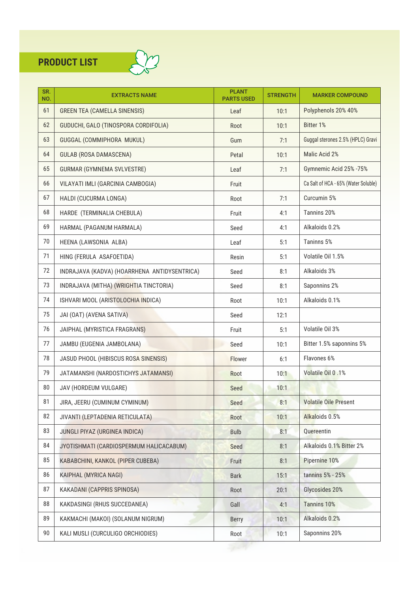

| SR.<br>NO. | <b>EXTRACTS NAME</b>                         | <b>PLANT</b><br><b>PARTS USED</b> | <b>STRENGTH</b> | <b>MARKER COMPOUND</b>               |
|------------|----------------------------------------------|-----------------------------------|-----------------|--------------------------------------|
| 61         | <b>GREEN TEA (CAMELLA SINENSIS)</b>          | Leaf                              | 10:1            | Polyphenols 20% 40%                  |
| 62         | GUDUCHI, GALO (TINOSPORA CORDIFOLIA)         | Root                              | 10:1            | Bitter 1%                            |
| 63         | GUGGAL (COMMIPHORA MUKUL)                    | Gum                               | 7:1             | Guggal sterones 2.5% (HPLC) Gravi    |
| 64         | <b>GULAB (ROSA DAMASCENA)</b>                | Petal                             | 10:1            | Malic Acid 2%                        |
| 65         | <b>GURMAR (GYMNEMA SVLVESTRE)</b>            | Leaf                              | 7:1             | Gymnemic Acid 25% -75%               |
| 66         | VILAYATI IMLI (GARCINIA CAMBOGIA)            | Fruit                             |                 | Ca Salt of HCA - 65% (Water Soluble) |
| 67         | HALDI (CUCURMA LONGA)                        | Root                              | 7:1             | Curcumin 5%                          |
| 68         | HARDE (TERMINALIA CHEBULA)                   | Fruit                             | 4:1             | Tannins 20%                          |
| 69         | HARMAL (PAGANUM HARMALA)                     | Seed                              | 4:1             | Alkaloids 0.2%                       |
| 70         | HEENA (LAWSONIA ALBA)                        | Leaf                              | 5:1             | Taninns 5%                           |
| 71         | HING (FERULA ASAFOETIDA)                     | Resin                             | 5:1             | Volatile Oil 1.5%                    |
| 72         | INDRAJAVA (KADVA) (HOARRHENA ANTIDYSENTRICA) | Seed                              | 8:1             | Alkaloids 3%                         |
| 73         | INDRAJAVA (MITHA) (WRIGHTIA TINCTORIA)       | Seed                              | 8:1             | Saponnins 2%                         |
| 74         | ISHVARI MOOL (ARISTOLOCHIA INDICA)           | Root                              | 10:1            | Alkaloids 0.1%                       |
| 75         | JAI (OAT) (AVENA SATIVA)                     | Seed                              | 12:1            |                                      |
| 76         | JAIPHAL (MYRISTICA FRAGRANS)                 | Fruit                             | 5:1             | Volatile Oil 3%                      |
| 77         | JAMBU (EUGENIA JAMBOLANA)                    | Seed                              | 10:1            | Bitter 1.5% saponnins 5%             |
| 78         | JASUD PHOOL (HIBISCUS ROSA SINENSIS)         | Flower                            | 6:1             | Flavones 6%                          |
| 79         | JATAMANSHI (NARDOSTICHYS JATAMANSI)          | Root                              | 10:1            | Volatile Oil 0.1%                    |
| 80         | JAV (HORDEUM VULGARE)                        | Seed                              | 10:1            |                                      |
| 81         | JIRA, JEERU (CUMINUM CYMINUM)                | Seed                              | 8:1             | <b>Volatile Oile Present</b>         |
| 82         | JIVANTI (LEPTADENIA RETICULATA)              | Root                              | 10:1            | Alkaloids 0.5%                       |
| 83         | JUNGLI PIYAZ (URGINEA INDICA)                | <b>Bulb</b>                       | 8:1             | Quereentin                           |
| 84         | JYOTISHMATI (CARDIOSPERMUM HALICACABUM)      | Seed                              | 8:1             | Alkaloids 0.1% Bitter 2%             |
| 85         | KABABCHINI, KANKOL (PIPER CUBEBA)            | Fruit                             | 8:1             | Pipernine 10%                        |
| 86         | KAIPHAL (MYRICA NAGI)                        | <b>Bark</b>                       | 15:1            | tannins 5% - 25%                     |
| 87         | KAKADANI (CAPPRIS SPINOSA)                   | Root                              | 20:1            | Glycosides 20%                       |
| 88         | KAKDASINGI (RHUS SUCCEDANEA)                 | Gall                              | 4:1             | Tannins 10%                          |
| 89         | KAKMACHI (MAKOI) (SOLANUM NIGRUM)            | <b>Berry</b>                      | 10:1            | Alkaloids 0.2%                       |
| 90         | KALI MUSLI (CURCULIGO ORCHIODIES)            | Root                              | 10:1            | Saponnins 20%                        |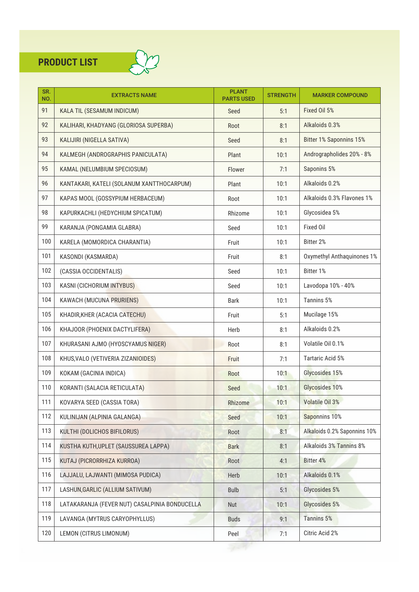

| SR.<br>NO. | <b>EXTRACTS NAME</b>                          | <b>PLANT</b><br><b>PARTS USED</b> | <b>STRENGTH</b> | <b>MARKER COMPOUND</b>       |
|------------|-----------------------------------------------|-----------------------------------|-----------------|------------------------------|
| 91         | KALA TIL (SESAMUM INDICUM)                    | Seed                              | 5:1             | Fixed Oil 5%                 |
| 92         | KALIHARI, KHADYANG (GLORIOSA SUPERBA)         | Root                              | 8:1             | Alkaloids 0.3%               |
| 93         | KALIJIRI (NIGELLA SATIVA)                     | Seed                              | 8:1             | Bitter 1% Saponnins 15%      |
| 94         | KALMEGH (ANDROGRAPHIS PANICULATA)             | Plant                             | 10:1            | Andrographolides 20% - 8%    |
| 95         | KAMAL (NELUMBIUM SPECIOSUM)                   | Flower                            | 7:1             | Saponins 5%                  |
| 96         | KANTAKARI, KATELI (SOLANUM XANTTHOCARPUM)     | Plant                             | 10:1            | Alkaloids 0.2%               |
| 97         | KAPAS MOOL (GOSSYPIUM HERBACEUM)              | Root                              | 10:1            | Alkaloids 0.3% Flavones 1%   |
| 98         | KAPURKACHLI (HEDYCHIUM SPICATUM)              | Rhizome                           | 10:1            | Glycosidea 5%                |
| 99         | KARANJA (PONGAMIA GLABRA)                     | Seed                              | 10:1            | Fixed Oil                    |
| 100        | KARELA (MOMORDICA CHARANTIA)                  | Fruit                             | 10:1            | Bitter 2%                    |
| 101        | KASONDI (KASMARDA)                            | Fruit                             | 8:1             | Oxymethyl Anthaquinones 1%   |
| 102        | (CASSIA OCCIDENTALIS)                         | Seed                              | 10:1            | Bitter 1%                    |
| 103        | KASNI (CICHORIUM INTYBUS)                     | Seed                              | 10:1            | Lavodopa 10% - 40%           |
| 104        | KAWACH (MUCUNA PRURIENS)                      | <b>Bark</b>                       | 10:1            | Tannins 5%                   |
| 105        | KHADIR, KHER (ACACIA CATECHU)                 | Fruit                             | 5:1             | Mucilage 15%                 |
| 106        | KHAJOOR (PHOENIX DACTYLIFERA)                 | Herb                              | 8:1             | Alkaloids 0.2%               |
| 107        | KHURASANI AJMO (HYOSCYAMUS NIGER)             | Root                              | 8:1             | Volatile Oil 0.1%            |
| 108        | KHUS, VALO (VETIVERIA ZIZANIOIDES)            | Fruit                             | 7:1             | Tartaric Acid 5%             |
| 109        | KOKAM (GACINIA INDICA)                        | Root                              | 10:1            | Glycosides 15%               |
| 110        | KORANTI (SALACIA RETICULATA)                  | Seed                              | 10:1            | Glycosides 10%               |
| 111        | KOVARYA SEED (CASSIA TORA)                    | Rhizome                           | 10:1            | Volatile Oil 3%              |
| 112        | KULINIJAN (ALPINIA GALANGA)                   | Seed                              | 10:1            | Saponnins 10%                |
| 113        | KULTHI (DOLICHOS BIFILORUS)                   | Root                              | 8:1             | Alkaloids 0.2% Saponnins 10% |
| 114        | KUSTHA KUTH, UPLET (SAUSSUREA LAPPA)          | <b>Bark</b>                       | 8:1             | Alkaloids 3% Tannins 8%      |
| 115        | KUTAJ (PICRORRHIZA KURROA)                    | Root                              | 4:1             | Bitter 4%                    |
| 116        | LAJJALU, LAJWANTI (MIMOSA PUDICA)             | Herb                              | 10:1            | Alkaloids 0.1%               |
| 117        | LASHUN, GARLIC (ALLIUM SATIVUM)               | <b>Bulb</b>                       | 5:1             | Glycosides 5%                |
| 118        | LATAKARANJA (FEVER NUT) CASALPINIA BONDUCELLA | Nut                               | 10:1            | Glycosides 5%                |
| 119        | LAVANGA (MYTRUS CARYOPHYLLUS)                 | <b>Buds</b>                       | 9:1             | Tannins 5%                   |
| 120        | LEMON (CITRUS LIMONUM)                        | Peel                              | 7:1             | Citric Acid 2%               |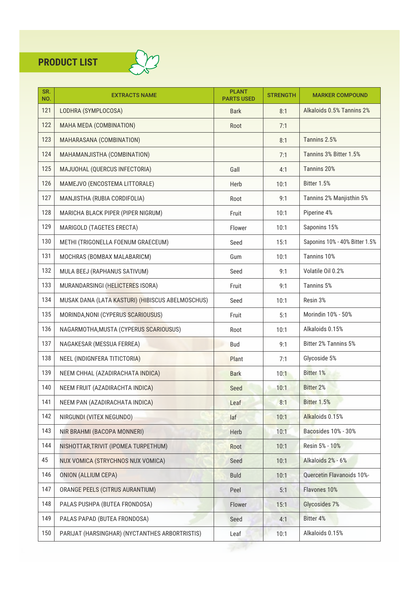

| SR.<br>NO. | <b>EXTRACTS NAME</b>                             | <b>PLANT</b><br><b>PARTS USED</b> | <b>STRENGTH</b> | <b>MARKER COMPOUND</b>         |
|------------|--------------------------------------------------|-----------------------------------|-----------------|--------------------------------|
| 121        | LODHRA (SYMPLOCOSA)                              | <b>Bark</b>                       | 8:1             | Alkaloids 0.5% Tannins 2%      |
| 122        | MAHA MEDA (COMBINATION)                          | Root                              | 7:1             |                                |
| 123        | MAHARASANA (COMBINATION)                         |                                   | 8:1             | Tannins 2.5%                   |
| 124        | MAHAMANJISTHA (COMBINATION)                      |                                   | 7:1             | Tannins 3% Bitter 1.5%         |
| 125        | MAJUOHAL (QUERCUS INFECTORIA)                    | Gall                              | 4:1             | Tannins 20%                    |
| 126        | MAMEJVO (ENCOSTEMA LITTORALE)                    | Herb                              | 10:1            | Bitter 1.5%                    |
| 127        | MANJISTHA (RUBIA CORDIFOLIA)                     | Root                              | 9:1             | Tannins 2% Manjisthin 5%       |
| 128        | MARICHA BLACK PIPER (PIPER NIGRUM)               | Fruit                             | 10:1            | Piperine 4%                    |
| 129        | MARIGOLD (TAGETES ERECTA)                        | Flower                            | 10:1            | Saponins 15%                   |
| 130        | METHI (TRIGONELLA FOENUM GRAECEUM)               | Seed                              | 15:1            | Saponins 10% - 40% Bitter 1.5% |
| 131        | MOCHRAS (BOMBAX MALABARICM)                      | Gum                               | 10:1            | Tannins 10%                    |
| 132        | MULA BEEJ (RAPHANUS SATIVUM)                     | Seed                              | 9:1             | Volatile Oil 0.2%              |
| 133        | MURANDARSINGI (HELICTERES ISORA)                 | Fruit                             | 9:1             | Tannins 5%                     |
| 134        | MUSAK DANA (LATA KASTURI) (HIBISCUS ABELMOSCHUS) | Seed                              | 10:1            | Resin 3%                       |
| 135        | MORINDA, NONI (CYPERUS SCARIOUSUS)               | Fruit                             | 5:1             | Morindin 10% - 50%             |
| 136        | NAGARMOTHA, MUSTA (CYPERUS SCARIOUSUS)           | Root                              | 10:1            | Alkaloids 0.15%                |
| 137        | NAGAKESAR (MESSUA FERREA)                        | <b>Bud</b>                        | 9:1             | Bitter 2% Tannins 5%           |
| 138        | NEEL (INDIGNFERA TITICTORIA)                     | Plant                             | 7:1             | Glycoside 5%                   |
| 139        | NEEM CHHAL (AZADIRACHATA INDICA)                 | <b>Bark</b>                       | 10:1            | Bitter 1%                      |
| 140        | NEEM FRUIT (AZADIRACHTA INDICA)                  | Seed                              | 10:1            | <b>Bitter 2%</b>               |
| 141        | NEEM PAN (AZADIRACHATA INDICA)                   | Leaf                              | 8:1             | Bitter 1.5%                    |
| 142        | NIRGUNDI (VITEX NEGUNDO)                         | laf                               | 10:1            | Alkaloids 0.15%                |
| 143        | NIR BRAHMI (BACOPA MONNERI)                      | Herb                              | 10:1            | Bacosides 10% - 30%            |
| 144        | NISHOTTAR, TRIVIT (IPOMEA TURPETHUM)             | Root                              | 10:1            | Resin 5% - 10%                 |
| 45         | NUX VOMICA (STRYCHNOS NUX VOMICA)                | Seed                              | 10:1            | Alkaloids 2% - 6%              |
| 146        | <b>ONION (ALLIUM CEPA)</b>                       | <b>Buld</b>                       | 10:1            | Quercetin Flavanoids 10%-      |
| 147        | ORANGE PEELS (CITRUS AURANTIUM)                  | Peel                              | 5:1             | Flavones 10%                   |
| 148        | PALAS PUSHPA (BUTEA FRONDOSA)                    | Flower                            | 15:1            | Glycosides 7%                  |
| 149        | PALAS PAPAD (BUTEA FRONDOSA)                     | Seed                              | 4:1             | <b>Bitter 4%</b>               |
| 150        | PARIJAT (HARSINGHAR) (NYCTANTHES ARBORTRISTIS)   | Leaf                              | 10:1            | Alkaloids 0.15%                |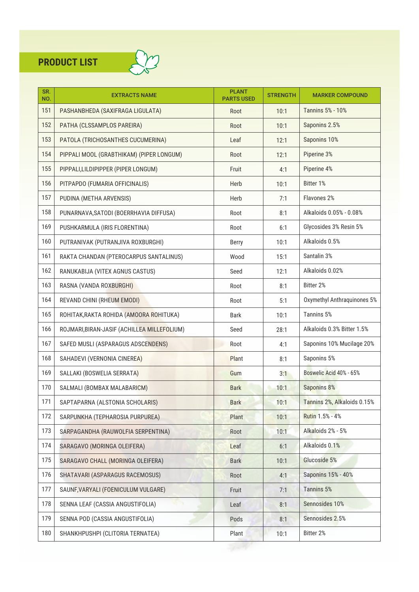

| SR.<br>NO. | <b>EXTRACTS NAME</b>                        | <b>PLANT</b><br><b>PARTS USED</b> | <b>STRENGTH</b> | <b>MARKER COMPOUND</b>      |
|------------|---------------------------------------------|-----------------------------------|-----------------|-----------------------------|
| 151        | PASHANBHEDA (SAXIFRAGA LIGULATA)            | Root                              | 10:1            | <b>Tannins 5% - 10%</b>     |
| 152        | PATHA (CLSSAMPLOS PAREIRA)                  | Root                              | 10:1            | Saponins 2.5%               |
| 153        | PATOLA (TRICHOSANTHES CUCUMERINA)           | Leaf                              | 12:1            | Saponins 10%                |
| 154        | PIPPALI MOOL (GRABTHIKAM) (PIPER LONGUM)    | Root                              | 12:1            | Piperine 3%                 |
| 155        | PIPPALI, LILDIPIPPER (PIPER LONGUM)         | Fruit                             | 4:1             | Piperine 4%                 |
| 156        | PITPAPDO (FUMARIA OFFICINALIS)              | Herb                              | 10:1            | Bitter 1%                   |
| 157        | PUDINA (METHA ARVENSIS)                     | Herb                              | 7:1             | Flavones 2%                 |
| 158        | PUNARNAVA, SATODI (BOERRHAVIA DIFFUSA)      | Root                              | 8:1             | Alkaloids 0.05% - 0.08%     |
| 169        | PUSHKARMULA (IRIS FLORENTINA)               | Root                              | 6:1             | Glycosides 3% Resin 5%      |
| 160        | PUTRANIVAK (PUTRANJIVA ROXBURGHI)           | <b>Berry</b>                      | 10:1            | Alkaloids 0.5%              |
| 161        | RAKTA CHANDAN (PTEROCARPUS SANTALINUS)      | Wood                              | 15:1            | Santalin 3%                 |
| 162        | RANUKABIJA (VITEX AGNUS CASTUS)             | Seed                              | 12:1            | Alkaloids 0.02%             |
| 163        | RASNA (VANDA ROXBURGHI)                     | Root                              | 8:1             | Bitter 2%                   |
| 164        | REVAND CHINI (RHEUM EMODI)                  | Root                              | 5:1             | Oxymethyl Anthraquinones 5% |
| 165        | ROHITAK, RAKTA ROHIDA (AMOORA ROHITUKA)     | <b>Bark</b>                       | 10:1            | Tannins 5%                  |
| 166        | ROJMARI, BIRAN-JASIF (ACHILLEA MILLEFOLIUM) | Seed                              | 28:1            | Alkaloids 0.3% Bitter 1.5%  |
| 167        | SAFED MUSLI (ASPARAGUS ADSCENDENS)          | Root                              | 4:1             | Saponins 10% Mucilage 20%   |
| 168        | SAHADEVI (VERNONIA CINEREA)                 | Plant                             | 8:1             | Saponins 5%                 |
| 169        | SALLAKI (BOSWELIA SERRATA)                  | Gum                               | 3:1             | Boswelic Acid 40% - 65%     |
| 170        | SALMALI (BOMBAX MALABARICM)                 | <b>Bark</b>                       | 10:1            | Saponins 8%                 |
| 171        | SAPTAPARNA (ALSTONIA SCHOLARIS)             | <b>Bark</b>                       | 10:1            | Tannins 2%, Alkaloids 0.15% |
| 172        | SARPUNKHA (TEPHAROSIA PURPUREA)             | Plant                             | 10:1            | Rutin 1.5% - 4%             |
| 173        | SARPAGANDHA (RAUWOLFIA SERPENTINA)          | Root                              | 10:1            | Alkaloids 2% - 5%           |
| 174        | SARAGAVO (MORINGA OLEIFERA)                 | Leaf                              | 6:1             | Alkaloids 0.1%              |
| 175        | SARAGAVO CHALL (MORINGA OLEIFERA)           | <b>Bark</b>                       | 10:1            | Glucoside 5%                |
| 176        | SHATAVARI (ASPARAGUS RACEMOSUS)             | Root                              | 4:1             | Saponins 15% - 40%          |
| 177        | SAUNF, VARYALI (FOENICULUM VULGARE)         | Fruit                             | 7:1             | <b>Tannins 5%</b>           |
| 178        | SENNA LEAF (CASSIA ANGUSTIFOLIA)            | Leaf                              | 8:1             | Sennosides 10%              |
| 179        | SENNA POD (CASSIA ANGUSTIFOLIA)             | Pods                              | 8:1             | Sennosides 2.5%             |
| 180        | SHANKHPUSHPI (CLITORIA TERNATEA)            | Plant                             | 10:1            | Bitter 2%                   |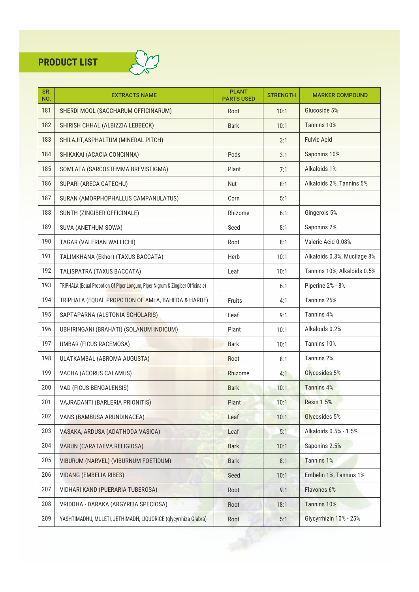

| SR.<br>NO. | <b>EXTRACTS NAME</b>                                                           | <b>PLANT</b><br><b>PARTS USED</b> | <b>STRENGTH</b> | <b>MARKER COMPOUND</b>      |
|------------|--------------------------------------------------------------------------------|-----------------------------------|-----------------|-----------------------------|
| 181        | SHERDI MOOL (SACCHARUM OFFICINARUM)                                            | Root                              | 10:1            | Glucoside 5%                |
| 182        | SHIRISH CHHAL (ALBIZZIA LEBBECK)                                               | <b>Bark</b>                       | 10:1            | Tannins 10%                 |
| 183        | SHILAJIT, ASPHALTUM (MINERAL PITCH)                                            |                                   | 3:1             | <b>Fulvic Acid</b>          |
| 184        | SHIKAKAI (ACACIA CONCINNA)                                                     | Pods                              | 3:1             | Saponins 10%                |
| 185        | SOMLATA (SARCOSTEMMA BREVISTIGMA)                                              | Plant                             | 7:1             | Alkaloids 1%                |
| 186        | SUPARI (ARECA CATECHU)                                                         | Nut                               | 8:1             | Alkaloids 2%, Tannins 5%    |
| 187        | SURAN (AMORPHOPHALLUS CAMPANULATUS)                                            | Corn                              | 5:1             |                             |
| 188        | SUNTH (ZINGIBER OFFICINALE)                                                    | Rhizome                           | 6:1             | Gingerols 5%                |
| 189        | SUVA (ANETHUM SOWA)                                                            | Seed                              | 8:1             | Saponins 2%                 |
| 190        | TAGAR (VALERIAN WALLICHI)                                                      | Root                              | 8:1             | Valeric Acid 0.08%          |
| 191        | TALIMKHANA (Ekhor) (TAXUS BACCATA)                                             | Herb                              | 10:1            | Alkaloids 0.3%, Mucilage 8% |
| 192        | TALISPATRA (TAXUS BACCATA)                                                     | Leaf                              | 10:1            | Tannins 10%, Alkaloids 0.5% |
| 193        | TRIPHALA (Equal Propotion Of Piper Longum, Piper Nigrum & Zingiber Officinale) |                                   | 6:1             | Piperine 2% - 8%            |
| 194        | TRIPHALA (EQUAL PROPOTION OF AMLA, BAHEDA & HARDE)                             | Fruits                            | 4:1             | Tannins 25%                 |
| 195        | SAPTAPARNA (ALSTONIA SCHOLARIS)                                                | Leaf                              | 9:1             | Tannins 4%                  |
| 196        | UBHIRINGANI (BRAHATI) (SOLANUM INDICUM)                                        | Plant                             | 10:1            | Alkaloids 0.2%              |
| 197        | UMBAR (FICUS RACEMOSA)                                                         | <b>Bark</b>                       | 10:1            | Tannins 10%                 |
| 198        | ULATKAMBAL (ABROMA AUGUSTA)                                                    | Root                              | 8:1             | Tannins 2%                  |
| 199        | VACHA (ACORUS CALAMUS)                                                         | Rhizome                           | 4:1             | Glycosides 5%               |
| 200        | VAD (FICUS BENGALENSIS)                                                        | <b>Bark</b>                       | 10:1            | <b>Tannins 4%</b>           |
| 201        | VAJRADANTI (BARLERIA PRIONITIS)                                                | Plant                             | 10:1            | <b>Resin 1.5%</b>           |
| 202        | VANS (BAMBUSA ARUNDINACEA)                                                     | Leaf                              | 10:1            | Glycosides 5%               |
| 203        | VASAKA, ARDUSA (ADATHODA VASICA)                                               | Leaf                              | 5:1             | Alkaloids 0.5% - 1.5%       |
| 204        | VARUN (CARATAEVA RELIGIOSA)                                                    | <b>Bark</b>                       | 10:1            | Saponins 2.5%               |
| 205        | VIBURUM (NARVEL) (VIBURNUM FOETIDUM)                                           | <b>Bark</b>                       | 8:1             | <b>Tannins 1%</b>           |
| 206        | <b>VIDANG (EMBELIA RIBES)</b>                                                  | Seed                              | 10:1            | Embelin 1%, Tannins 1%      |
| 207        | VIDHARI KAND (PUERARIA TUBEROSA)                                               | Root                              | 9:1             | Flavones 6%                 |
| 208        | VRIDDHA - DARAKA (ARGYREIA SPECIOSA)                                           | Root                              | 18:1            | <b>Tannins 10%</b>          |
| 209        | YASHTIMADHU, MULETI, JETHIMADH, LIQUORICE (glycyrrhiza Glabra)                 | Root                              | 5:1             | Glycyrrhizin 10% - 25%      |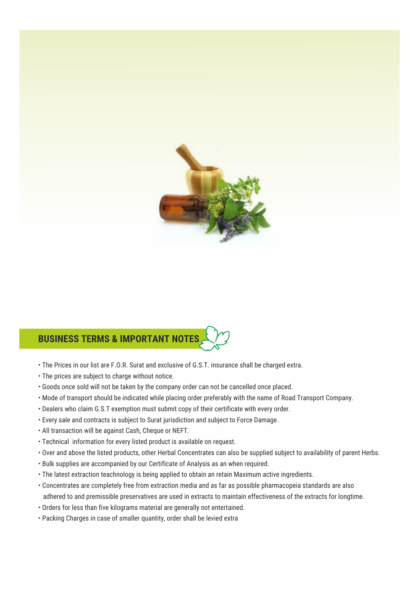

#### **BUSINESS TERMS & IMPORTANT NOTES**

- The Prices in our list are F.O.R. Surat and exclusive of G.S.T. insurance shall be charged extra.
- The prices are subject to charge without notice.
- Goods once sold will not be taken by the company order can not be cancelled once placed.
- Mode of transport should be indicated while placing order preferably with the name of Road Transport Company.
- Dealers who claim G.S.T exemption must submit copy of their certificate with every order.
- Every sale and contracts is subject to Surat jurisdiction and subject to Force Damage.
- All transaction will be against Cash, Cheque or NEFT.
- Technical information for every listed product is available on request.
- Over and above the listed products, other Herbal Concentrates can also be supplied subject to availability of parent Herbs.
- Bulk supplies are accompanied by our Certificate of Analysis as an when required.
- The latest extraction teachnology is being applied to obtain an retain Maximum active ingredients.
- Concentrates are completely free from extraction media and as far as possible pharmacopeia standards are also adhered to and premissible preservatives are used in extracts to maintain effectiveness of the extracts for longtime.
- Orders for less than five kilograms material are generally not entertained.
- Packing Charges in case of smaller quantity, order shall be levied extra